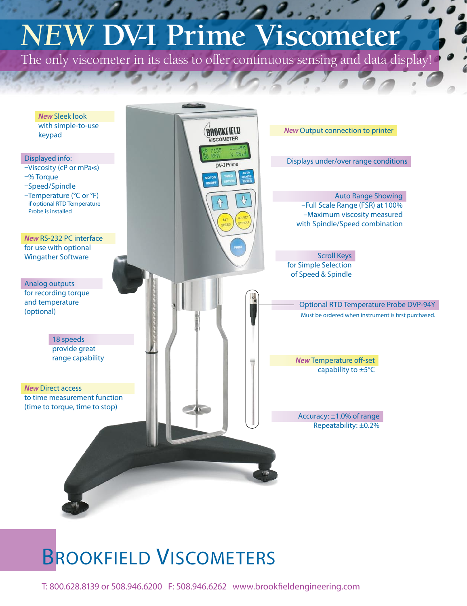# *NEW* **DV-I Prime Viscometer**

The only viscometer in its class to offer continuous sensing and data display!



## BROOKFIELD VISCOMETERS

T: 800.628.8139 or 508.946.6200 F: 508.946.6262 www.brookfieldengineering.com